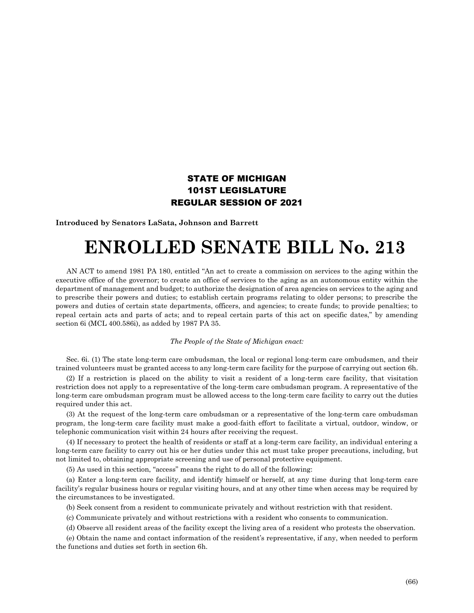## STATE OF MICHIGAN 101ST LEGISLATURE REGULAR SESSION OF 2021

**Introduced by Senators LaSata, Johnson and Barrett**

## **ENROLLED SENATE BILL No. 213**

AN ACT to amend 1981 PA 180, entitled "An act to create a commission on services to the aging within the executive office of the governor; to create an office of services to the aging as an autonomous entity within the department of management and budget; to authorize the designation of area agencies on services to the aging and to prescribe their powers and duties; to establish certain programs relating to older persons; to prescribe the powers and duties of certain state departments, officers, and agencies; to create funds; to provide penalties; to repeal certain acts and parts of acts; and to repeal certain parts of this act on specific dates," by amending section 6i (MCL 400.586i), as added by 1987 PA 35.

## *The People of the State of Michigan enact:*

Sec. 6i. (1) The state long-term care ombudsman, the local or regional long-term care ombudsmen, and their trained volunteers must be granted access to any long-term care facility for the purpose of carrying out section 6h.

(2) If a restriction is placed on the ability to visit a resident of a long-term care facility, that visitation restriction does not apply to a representative of the long-term care ombudsman program. A representative of the long-term care ombudsman program must be allowed access to the long-term care facility to carry out the duties required under this act.

(3) At the request of the long-term care ombudsman or a representative of the long-term care ombudsman program, the long-term care facility must make a good-faith effort to facilitate a virtual, outdoor, window, or telephonic communication visit within 24 hours after receiving the request.

(4) If necessary to protect the health of residents or staff at a long-term care facility, an individual entering a long-term care facility to carry out his or her duties under this act must take proper precautions, including, but not limited to, obtaining appropriate screening and use of personal protective equipment.

(5) As used in this section, "access" means the right to do all of the following:

(a) Enter a long-term care facility, and identify himself or herself, at any time during that long-term care facility's regular business hours or regular visiting hours, and at any other time when access may be required by the circumstances to be investigated.

(b) Seek consent from a resident to communicate privately and without restriction with that resident.

(c) Communicate privately and without restrictions with a resident who consents to communication.

(d) Observe all resident areas of the facility except the living area of a resident who protests the observation.

(e) Obtain the name and contact information of the resident's representative, if any, when needed to perform the functions and duties set forth in section 6h.